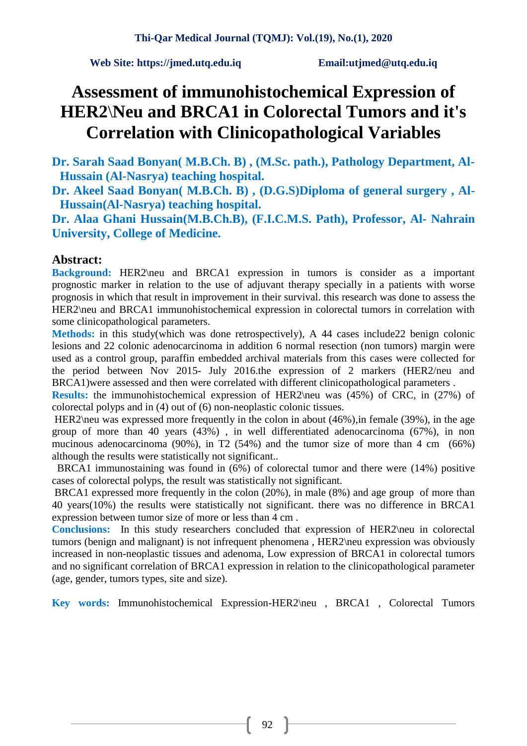# **Assessment of immunohistochemical Expression of HER2**\**Neu and BRCA1 in Colorectal Tumors and it's Correlation with Clinicopathological Variables**

**Dr. Sarah Saad Bonyan( M.B.Ch. B) , (M.Sc. path.), Pathology Department, Al-Hussain (Al-Nasrya) teaching hospital.** 

**Dr. Akeel Saad Bonyan( M.B.Ch. B) , (D.G.S)Diploma of general surgery , Al-Hussain(Al-Nasrya) teaching hospital.**

**Dr. Alaa Ghani Hussain(M.B.Ch.B), (F.I.C.M.S. Path), Professor, Al- Nahrain University, College of Medicine.** 

### **Abstract:**

**Background:** HER2\neu and BRCA1 expression in tumors is consider as a important prognostic marker in relation to the use of adjuvant therapy specially in a patients with worse prognosis in which that result in improvement in their survival. this research was done to assess the HER2\neu and BRCA1 immunohistochemical expression in colorectal tumors in correlation with some clinicopathological parameters.

**Methods:** in this study(which was done retrospectively), A 44 cases include22 benign colonic lesions and 22 colonic adenocarcinoma in addition 6 normal resection (non tumors) margin were used as a control group, paraffin embedded archival materials from this cases were collected for the period between Nov 2015- July 2016.the expression of 2 markers (HER2/neu and BRCA1)were assessed and then were correlated with different clinicopathological parameters .

**Results:** the immunohistochemical expression of HER2\neu was (45%) of CRC, in (27%) of colorectal polyps and in (4) out of (6) non-neoplastic colonic tissues.

HER2\neu was expressed more frequently in the colon in about (46%), in female (39%), in the age group of more than 40 years (43%) , in well differentiated adenocarcinoma (67%), in non mucinous adenocarcinoma (90%), in T2 (54%) and the tumor size of more than 4 cm (66%) although the results were statistically not significant..

BRCA1 immunostaining was found in (6%) of colorectal tumor and there were (14%) positive cases of colorectal polyps, the result was statistically not significant.

BRCA1 expressed more frequently in the colon (20%), in male (8%) and age group of more than 40 years(10%) the results were statistically not significant. there was no difference in BRCA1 expression between tumor size of more or less than 4 cm .

**Conclusions:** In this study researchers concluded that expression of HER2\neu in colorectal tumors (benign and malignant) is not infrequent phenomena , HER2\neu expression was obviously increased in non-neoplastic tissues and adenoma, Low expression of BRCA1 in colorectal tumors and no significant correlation of BRCA1 expression in relation to the clinicopathological parameter (age, gender, tumors types, site and size).

**Key words:** Immunohistochemical Expression-HER2\neu , BRCA1 , Colorectal Tumors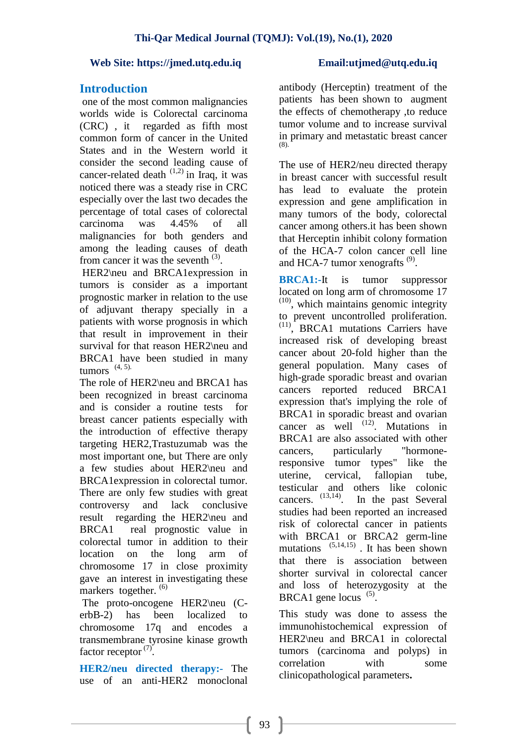# **Introduction**

one of the most common malignancies worlds wide is Colorectal carcinoma (CRC) , it regarded as fifth most common form of cancer in the [United](http://en.wikipedia.org/wiki/United_States)  [States](http://en.wikipedia.org/wiki/United_States) and in the Western world it consider the second leading cause of cancer-related death  $(1,2)$  in Iraq, it was noticed there was a steady rise in CRC especially over the last two decades the percentage of total cases of colorectal carcinoma was 4.45% of all malignancies for both genders and among the leading causes of death from cancer it was the seventh  $(3)$ .

HER2\neu and BRCA1expression in tumors is consider as a important prognostic marker in relation to the use of adjuvant therapy specially in a patients with worse prognosis in which that result in improvement in their survival for that reason HER2\neu and BRCA1 have been studied in many tumors  $(4, 5)$ .

The role of HER2\neu and BRCA1 has been recognized in breast carcinoma and is consider a routine tests for breast cancer patients especially with the introduction of effective therapy targeting HER2,Trastuzumab was the most important one, but There are only a few studies about HER2\neu and BRCA1expression in colorectal tumor. There are only few studies with great controversy and lack conclusive result regarding the HER2\neu and BRCA1 real prognostic value in colorectal tumor in addition to their location on the long arm of chromosome 17 in close proximity gave an interest in investigating these markers together.<sup>(6)</sup>

The proto-oncogene HER2\neu (CerbB-2) has been localized to chromosome 17q and encodes a transmembrane tyrosine kinase growth factor receptor  $(7)$ .

**HER2/neu directed therapy:-** The use of an anti-HER2 monoclonal antibody (Herceptin) treatment of the patients has been shown to augment the effects of chemotherapy ,to reduce tumor volume and to increase survival in primary and metastatic breast cancer (8).

The use of HER2/neu directed therapy in breast cancer with successful result has lead to evaluate the protein expression and gene amplification in many tumors of the body, colorectal cancer among others.it has been shown that Herceptin inhibit colony formation of the HCA-7 colon cancer cell line and HCA-7 tumor xenografts  $(9)$ .

**BRCA1:-**It is [tumor suppressor](http://en.wikipedia.org/wiki/Tumor_suppressor_gene) located on long arm of [chromosome](http://www.cancer.gov/Common/PopUps/popDefinition.aspx?id=46470&version=HealthProfessional&language=English) 17  $(10)$ , which maintains genomic integrity to prevent uncontrolled proliferation. (11) , BRCA1 mutations Carriers have increased risk of developing breast cancer about 20-fold higher than the general population. Many cases of high-grade sporadic breast and ovarian cancers reported reduced BRCA1 expression that's implying the role of BRCA1 in sporadic breast and ovarian cancer as well  $^{(12)}$ . Mutations in BRCA1 are also associated with other cancers, particularly "hormoneresponsive tumor types" like the uterine, cervical, fallopian tube, testicular and others like colonic cancers.  $(13,14)$ . In the past Several studies had been reported an increased risk of colorectal cancer in patients with BRCA1 or BRCA2 germ-line mutations (5,14,15) . It has been shown that there is association between shorter survival in colorectal cancer and loss of heterozygosity at the BRCA1 gene locus  $(5)$ .

This study was done to assess the immunohistochemical expression of HER2\neu and BRCA1 in colorectal tumors (carcinoma and polyps) in correlation with some clinicopathological parameters**.**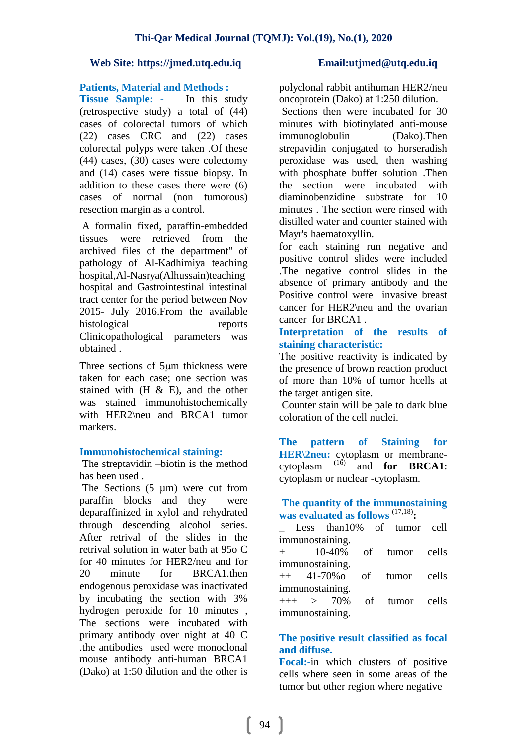### **Patients, Material and Methods :**

**Tissue Sample:** - In this study (retrospective study) a total of (44) cases of colorectal tumors of which (22) cases CRC and (22) cases colorectal polyps were taken .Of these (44) cases, (30) cases were colectomy and (14) cases were tissue biopsy. In addition to these cases there were (6) cases of normal (non tumorous) resection margin as a control.

A formalin fixed, paraffin-embedded tissues were retrieved from the archived files of the department" of pathology of Al-Kadhimiya teaching hospital, Al-Nasrya (Alhussain)teaching hospital and Gastrointestinal intestinal tract center for the period between Nov 2015- July 2016.From the available histological reports Clinicopathological parameters was obtained .

Three sections of 5µm thickness were taken for each case; one section was stained with  $(H & E)$ , and the other was stained immunohistochemically with HER2\neu and BRCA1 tumor markers.

### **Immunohistochemical staining:**

The streptavidin –biotin is the method has been used .

The Sections  $(5 \mu m)$  were cut from paraffin blocks and they were deparaffinized in xylol and rehydrated through descending alcohol series. After retrival of the slides in the retrival solution in water bath at 95o C for 40 minutes for HER2/neu and for 20 minute for BRCA1.then endogenous peroxidase was inactivated by incubating the section with 3% hydrogen peroxide for 10 minutes , The sections were incubated with primary antibody over night at 40 C .the antibodies used were monoclonal mouse antibody anti-human BRCA1 (Dako) at 1:50 dilution and the other is

polyclonal rabbit antihuman HER2/neu oncoprotein (Dako) at 1:250 dilution.

Sections then were incubated for 30 minutes with biotinylated anti-mouse immunoglobulin (Dako).Then strepavidin conjugated to horseradish peroxidase was used, then washing with phosphate buffer solution .Then the section were incubated with diaminobenzidine substrate for 10 minutes . The section were rinsed with distilled water and counter stained with Mayr's haematoxyllin.

for each staining run negative and positive control slides were included .The negative control slides in the absence of primary antibody and the Positive control were invasive breast cancer for HER2\neu and the ovarian cancer for BRCA1 .

# **Interpretation of the results of staining characteristic:**

The positive reactivity is indicated by the presence of brown reaction product of more than 10% of tumor hcells at the target antigen site.

Counter stain will be pale to dark blue coloration of the cell nuclei.

**The pattern of Staining for HER\2neu:** cytoplasm or membranecytoplasm  $^{(16)}$  and **for BRCA1**: cytoplasm or nuclear -cytoplasm.

# **The quantity of the immunostaining**  was evaluated as follows<sup>(17,18)</sup>:

\_ Less than10% of tumor cell immunostaining.

+ 10-40% of tumor cells immunostaining.

++ 41-70%o of tumor cells immunostaining.

 $_{+++}$  > 70% of tumor cells immunostaining.

# **The positive result classified as focal and diffuse.**

**Focal:-**in which clusters of positive cells where seen in some areas of the tumor but other region where negative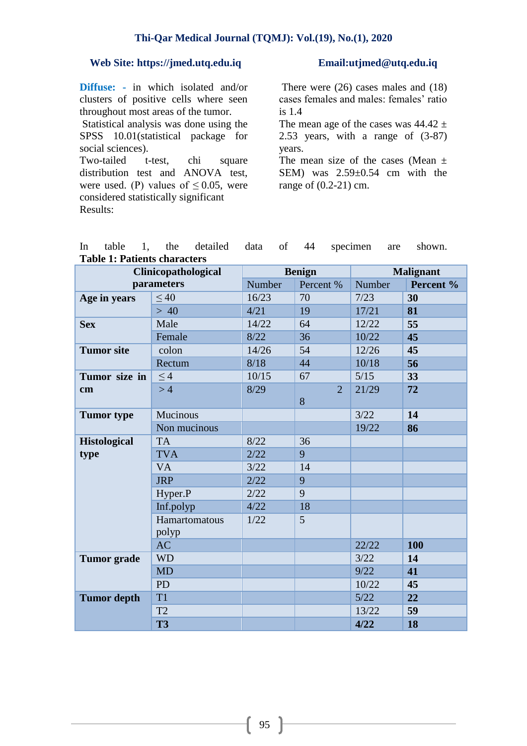**Diffuse: -** in which isolated and/or clusters of positive cells where seen throughout most areas of the tumor.

Statistical analysis was done using the SPSS 10.01(statistical package for social sciences).

Two-tailed t-test, chi square distribution test and ANOVA test, were used. (P) values of  $\leq 0.05$ , were considered statistically significant Results:

There were (26) cases males and (18) cases females and males: females' ratio is 1.4

The mean age of the cases was  $44.42 \pm$ 2.53 years, with a range of (3-87) years.

The mean size of the cases (Mean  $\pm$ SEM) was 2.59±0.54 cm with the range of (0.2-21) cm.

|                                     |  |  |  |  |  |  | In table 1, the detailed data of 44 specimen are shown. |  |  |
|-------------------------------------|--|--|--|--|--|--|---------------------------------------------------------|--|--|
| <b>Table 1: Patients characters</b> |  |  |  |  |  |  |                                                         |  |  |

|                     | Clinicopathological |           | <b>Benign</b>  | <b>Malignant</b> |     |
|---------------------|---------------------|-----------|----------------|------------------|-----|
| parameters          | Number              | Percent % | Number         | Percent %        |     |
| Age in years        | < 40                | 16/23     | 70             | 7/23             | 30  |
|                     | > 40                | 4/21      | 19             | 17/21            | 81  |
| <b>Sex</b>          | Male                | 14/22     | 64             | 12/22            | 55  |
|                     | Female              | 8/22      | 36             | 10/22            | 45  |
| <b>Tumor</b> site   | colon               | 14/26     | 54             | 12/26            | 45  |
|                     | Rectum              | 8/18      | 44             | 10/18            | 56  |
| Tumor size in       | $\leq 4$            | 10/15     | 67             | 5/15             | 33  |
| cm                  | >4                  | 8/29      | $\overline{2}$ | 21/29            | 72  |
|                     |                     |           | 8              |                  |     |
| <b>Tumor</b> type   | Mucinous            |           |                | 3/22             | 14  |
|                     | Non mucinous        |           |                | 19/22            | 86  |
| <b>Histological</b> | <b>TA</b>           | 8/22      | 36             |                  |     |
| type                | <b>TVA</b>          | 2/22      | 9              |                  |     |
|                     | <b>VA</b>           | 3/22      | 14             |                  |     |
|                     | <b>JRP</b>          | 2/22      | 9              |                  |     |
|                     | Hyper.P             | 2/22      | 9              |                  |     |
|                     | Inf.polyp           | 4/22      | 18             |                  |     |
|                     | Hamartomatous       | 1/22      | 5              |                  |     |
|                     | polyp               |           |                |                  |     |
|                     | <b>AC</b>           |           |                | 22/22            | 100 |
| <b>Tumor</b> grade  | <b>WD</b>           |           |                | 3/22             | 14  |
|                     | <b>MD</b>           |           |                | 9/22             | 41  |
|                     | <b>PD</b>           |           |                | 10/22            | 45  |
| <b>Tumor depth</b>  | T <sub>1</sub>      |           |                | 5/22             | 22  |
|                     | T <sub>2</sub>      |           |                | 13/22            | 59  |
|                     | <b>T3</b>           |           |                | 4/22             | 18  |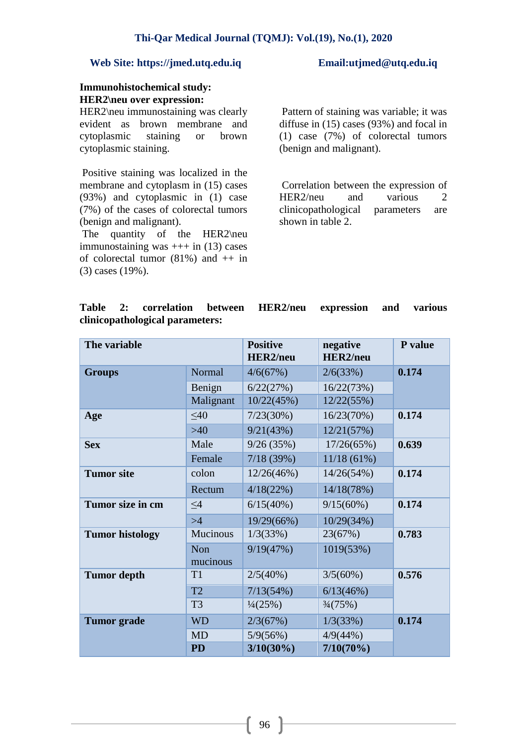### **Immunohistochemical study: HER2\neu over expression:**

HER2\neu immunostaining was clearly evident as brown membrane and cytoplasmic staining or brown cytoplasmic staining.

Positive staining was localized in the membrane and cytoplasm in (15) cases (93%) and cytoplasmic in (1) case (7%) of the cases of colorectal tumors (benign and malignant).

The quantity of the HER2\neu immunostaining was  $++$  in (13) cases of colorectal tumor  $(81\%)$  and  $++$  in (3) cases (19%).

Pattern of staining was variable; it was diffuse in (15) cases (93%) and focal in (1) case (7%) of colorectal tumors (benign and malignant).

Correlation between the expression of HER2/neu and various 2 clinicopathological parameters are shown in table 2.

# **Table 2: correlation between HER2/neu expression and various clinicopathological parameters:**

| The variable           |                        | <b>Positive</b><br><b>HER2/neu</b> | negative<br><b>HER2/neu</b> | P value |  |
|------------------------|------------------------|------------------------------------|-----------------------------|---------|--|
| <b>Groups</b>          | Normal                 | 4/6(67%)                           | 2/6(33%)                    | 0.174   |  |
|                        | Benign                 | 6/22(27%)                          | 16/22(73%)                  |         |  |
|                        | Malignant              | 10/22(45%)                         | 12/22(55%)                  |         |  |
| Age                    | $\leq 40$              | 7/23(30%)                          | 16/23(70%)                  | 0.174   |  |
|                        | $>40$                  | 9/21(43%)                          | 12/21(57%)                  |         |  |
| <b>Sex</b>             | Male                   | 9/26(35%)                          | 17/26(65%)                  | 0.639   |  |
|                        | Female                 | 7/18(39%)                          | 11/18(61%)                  |         |  |
| <b>Tumor</b> site      | colon                  | 12/26(46%)                         | 14/26(54%)                  | 0.174   |  |
|                        | Rectum                 | 4/18(22%)                          | 14/18(78%)                  |         |  |
| Tumor size in cm       | $\leq4$                | 6/15(40%)                          | 9/15(60%)                   | 0.174   |  |
|                        | >4                     | 19/29(66%)                         | 10/29(34%)                  |         |  |
| <b>Tumor histology</b> | Mucinous               | 1/3(33%)                           | 23(67%)                     | 0.783   |  |
|                        | <b>Non</b><br>mucinous | 9/19(47%)                          | 1019(53%)                   |         |  |
| <b>Tumor</b> depth     | T <sub>1</sub>         | 2/5(40%)                           | 3/5(60%)                    | 0.576   |  |
|                        | T <sub>2</sub>         | 7/13(54%)                          | 6/13(46%)                   |         |  |
|                        | T <sub>3</sub>         | $\frac{1}{4}$ (25%)                | $\frac{3}{4} (75\%)$        |         |  |
| <b>Tumor</b> grade     | <b>WD</b>              | 2/3(67%)                           | 1/3(33%)                    | 0.174   |  |
|                        | <b>MD</b>              | 5/9(56%)                           | 4/9(44%)                    |         |  |
|                        | <b>PD</b>              | $3/10(30\%)$                       | $7/10(70\%)$                |         |  |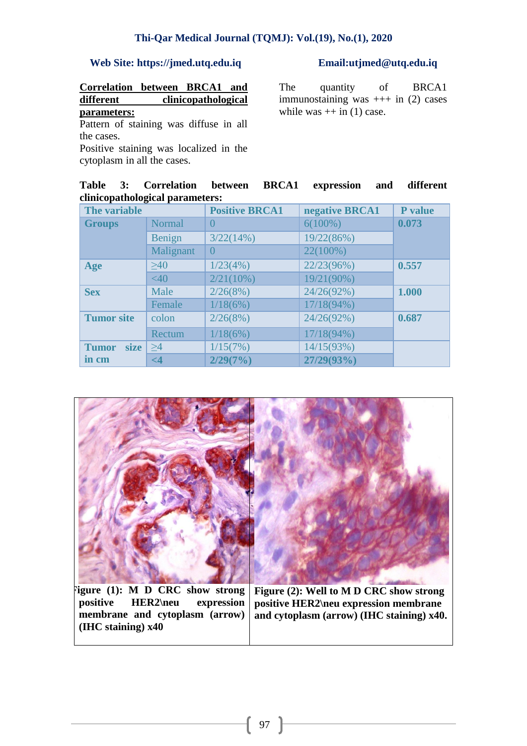**Correlation between BRCA1 and different clinicopathological parameters:**

Pattern of staining was diffuse in all the cases.

Positive staining was localized in the cytoplasm in all the cases.

The quantity of BRCA1 immunostaining was  $++$  in (2) cases while was  $++$  in (1) case.

|                                 |  | Table 3: Correlation between BRCA1 expression and different |  |  |  |  |  |  |
|---------------------------------|--|-------------------------------------------------------------|--|--|--|--|--|--|
| clinicopathological parameters: |  |                                                             |  |  |  |  |  |  |

| The variable                |               | <b>Positive BRCA1</b> | negative BRCA1 | <b>P</b> value |  |
|-----------------------------|---------------|-----------------------|----------------|----------------|--|
| <b>Groups</b>               | <b>Normal</b> | $\left($              | $6(100\%)$     | 0.073          |  |
|                             | Benign        | 3/22(14%)             | 19/22(86%)     |                |  |
|                             | Malignant     | $\Omega$              | 22(100%)       |                |  |
| Age                         | $>40$         | 1/23(4%)              | 22/23(96%)     | 0.557          |  |
|                             | <40           | 2/21(10%)             | 19/21(90%)     |                |  |
| <b>Sex</b>                  | Male          | 2/26(8%)              | 24/26(92%)     | 1.000          |  |
|                             | Female        | 1/18(6%)              | $17/18(94\%)$  |                |  |
| <b>Tumor site</b>           | colon         | 2/26(8%)              | 24/26(92%)     | 0.687          |  |
|                             | Rectum        | 1/18(6%)              | 17/18(94%)     |                |  |
| <b>size</b><br><b>Tumor</b> | $\geq 4$      | 1/15(7%)              | 14/15(93%)     |                |  |
| in cm                       | $\leq$ 4      | 2/29(7%)              | 27/29(93%)     |                |  |



**positive HER2\neu expression membrane and cytoplasm (arrow) (IHC staining) x40**

**positive HER2\neu expression membrane and cytoplasm (arrow) (IHC staining) x40.**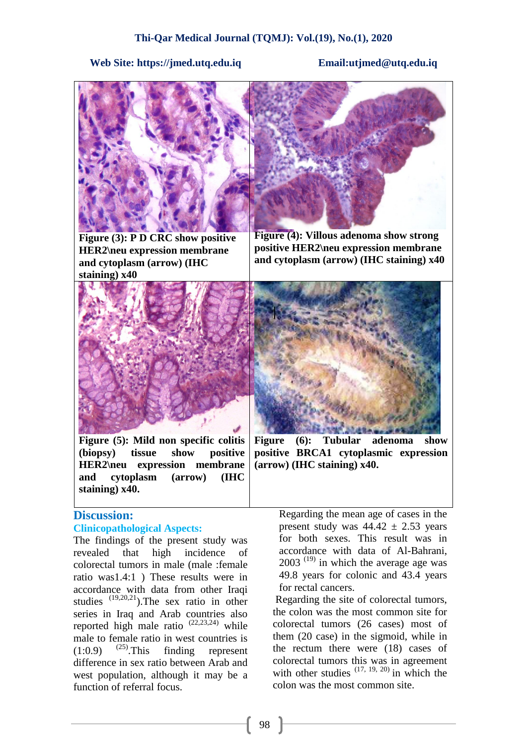

**Figure (3): P D CRC show positive HER2\neu expression membrane and cytoplasm (arrow) (IHC staining) x40**



**Figure (4): Villous adenoma show strong positive HER2\neu expression membrane and cytoplasm (arrow) (IHC staining) x40**



**Figure (5): Mild non specific colitis (biopsy) tissue show positive HER2\neu expression membrane and cytoplasm (arrow) (IHC staining) x40.**

# **Discussion:**

# **Clinicopathological Aspects:**

The findings of the present study was revealed that high incidence of colorectal tumors in male (male :female ratio was1.4:1 ) These results were in accordance with data from other Iraqi studies (19,20,21).The sex ratio in other series in Iraq and Arab countries also reported high male ratio  $(22,23,24)$  while male to female ratio in west countries is  $(1:0.9)$   $(25)$ . This finding represent difference in sex ratio between Arab and west population, although it may be a function of referral focus.



**Figure (6): Tubular adenoma show positive BRCA1 cytoplasmic expression (arrow) (IHC staining) x40.**

Regarding the mean age of cases in the present study was  $44.42 \pm 2.53$  years for both sexes. This result was in accordance with data of Al-Bahrani,  $2003$ <sup> $(19)$ </sup> in which the average age was 49.8 years for colonic and 43.4 years for rectal cancers.

Regarding the site of colorectal tumors, the colon was the most common site for colorectal tumors (26 cases) most of them (20 case) in the sigmoid, while in the rectum there were (18) cases of colorectal tumors this was in agreement with other studies  $(17, 19, 20)$  in which the colon was the most common site.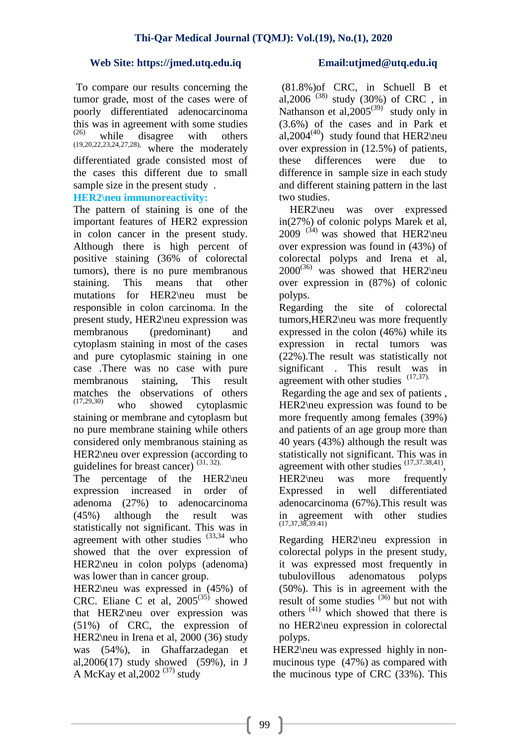To compare our results concerning the tumor grade, most of the cases were of poorly differentiated adenocarcinoma this was in agreement with some studies  $^{(26)}$  while disagree with others<br>(19,20,22,23,24,27,28), where the moderately where the moderately differentiated grade consisted most of the cases this different due to small sample size in the present study .

# **HER2\neu immunoreactivity:**

The pattern of staining is one of the important features of HER2 expression in colon cancer in the present study. Although there is high percent of positive staining (36% of colorectal tumors), there is no pure membranous staining. This means that other mutations for HER2\neu must be responsible in colon carcinoma. In the present study, HER2\neu expression was membranous (predominant) and cytoplasm staining in most of the cases and pure cytoplasmic staining in one case .There was no case with pure membranous staining, This result matches the observations of others  $(17,29,30)$  who showed autoplesmine who showed cytoplasmic staining or membrane and cytoplasm but no pure membrane staining while others considered only membranous staining as HER2\neu over expression (according to guidelines for breast cancer)  $(31, 32)$ .

The percentage of the HER2\neu expression increased in order of adenoma (27%) to adenocarcinoma (45%) although the result was statistically not significant. This was in agreement with other studies  $(33,34)$  who showed that the over expression of HER2\neu in colon polyps (adenoma) was lower than in cancer group.

HER2\neu was expressed in (45%) of CRC. Eliane C et al,  $2005^{(35)}$  showed that HER2\neu over expression was (51%) of CRC, the expression of HER2\neu in Irena et al, 2000 (36) study was (54%), in Ghaffarzadegan et al,2006(17) study showed (59%), in J A McKay et al,  $2002$  <sup>(37)</sup> study

(81.8%)of CRC, in Schuell B et al,  $2006^{(38)}$  study (30%) of CRC, in Nathanson et al,  $2005^{(39)}$  study only in (3.6%) of the cases and in Park et al,  $2004^{(40)}$  study found that HER2\neu over expression in (12.5%) of patients, these differences were due to difference in sample size in each study and different staining pattern in the last two studies.

 HER2\neu was over expressed in(27%) of colonic polyps Marek et al,  $2009$ <sup>(34)</sup> was showed that HER2\neu over expression was found in (43%) of colorectal polyps and Irena et al,  $2000^{(36)}$  was showed that HER2\neu over expression in (87%) of colonic polyps.

Regarding the site of colorectal tumors,HER2\neu was more frequently expressed in the colon (46%) while its expression in rectal tumors was (22%).The result was statistically not significant . This result was in agreement with other studies  $(17,37)$ .

Regarding the age and sex of patients , HER2\neu expression was found to be more frequently among females (39%) and patients of an age group more than 40 years (43%) although the result was statistically not significant. This was in agreement with other studies <sup>(17,37.38,41)</sup>, HER2\neu was more frequently Expressed in well differentiated adenocarcinoma (67%).This result was with other studies in agreement<br>(17,37,38,39.41)

Regarding HER2\neu expression in colorectal polyps in the present study, it was expressed most frequently in tubulovillous adenomatous polyps (50%). This is in agreement with the result of some studies  $(36)$  but not with others (41) which showed that there is no HER2\neu expression in colorectal polyps.

HER2\neu was expressed highly in nonmucinous type (47%) as compared with the mucinous type of CRC (33%). This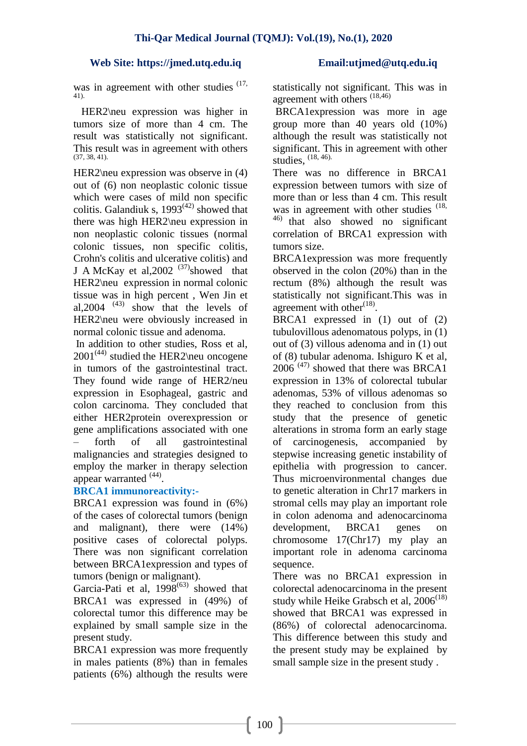was in agreement with other studies <sup>(17,</sup> 41).

 HER2\neu expression was higher in tumors size of more than 4 cm. The result was statistically not significant. This result was in agreement with others (37, 38, 41).

HER2\neu expression was observe in (4) out of (6) non neoplastic colonic tissue which were cases of mild non specific colitis. Galandiuk s,  $1993^{(42)}$  showed that there was high HER2\neu expression in non neoplastic colonic tissues (normal colonic tissues, non specific colitis, Crohn's colitis and ulcerative colitis) and J A McKay et al,  $2002$  <sup>(37)</sup>showed that HER2\neu expression in normal colonic tissue was in high percent , Wen Jin et al,  $2004$ <sup> $(43)$ </sup> show that the levels of HER2\neu were obviously increased in normal colonic tissue and adenoma.

In addition to other studies, Ross et al,  $2001^{(44)}$  studied the HER2\neu oncogene in tumors of the gastrointestinal tract. They found wide range of HER2/neu expression in Esophageal, gastric and colon carcinoma. They concluded that either HER2protein overexpression or gene amplifications associated with one – forth of all gastrointestinal malignancies and strategies designed to employ the marker in therapy selection appear warranted <sup>(44)</sup>.

# **BRCA1 immunoreactivity:-**

BRCA1 expression was found in (6%) of the cases of colorectal tumors (benign and malignant), there were (14%) positive cases of colorectal polyps. There was non significant correlation between BRCA1expression and types of tumors (benign or malignant).

[Garcia-Pati](http://www.ncbi.nlm.nih.gov/pubmed?term=%22Garcia-Pati%C3%B1o%20E%22%5BAuthor%5D) et al,  $1998^{(63)}$  showed that BRCA1 was expressed in (49%) of colorectal tumor this difference may be explained by small sample size in the present study.

BRCA1 expression was more frequently in males patients (8%) than in females patients (6%) although the results were statistically not significant. This was in agreement with others <sup>(18,46)</sup>

BRCA1expression was more in age group more than 40 years old (10%) although the result was statistically not significant. This in agreement with other studies, (18, 46).

There was no difference in BRCA1 expression between tumors with size of more than or less than 4 cm. This result was in agreement with other studies <sup>(18,</sup> 46) that also showed no significant correlation of BRCA1 expression with tumors size.

BRCA1 expression was more frequently observed in the colon (20%) than in the rectum (8%) although the result was statistically not significant.This was in agreement with other $^{(18)}$ .

BRCA1 expressed in (1) out of (2) tubulovillous adenomatous polyps, in (1) out of (3) villous adenoma and in (1) out of (8) tubular adenoma. Ishiguro K et al, 2006<sup>(47)</sup> showed that there was BRCA1 expression in 13% of colorectal tubular adenomas, 53% of villous adenomas so they reached to conclusion from this study that the presence of genetic alterations in stroma form an early stage of carcinogenesis, accompanied by stepwise increasing genetic instability of epithelia with progression to cancer. Thus microenvironmental changes due to genetic alteration in Chr17 markers in stromal cells may play an important role in colon adenoma and adenocarcinoma development, BRCA1 genes on chromosome 17(Chr17) my play an important role in adenoma carcinoma sequence.

There was no BRCA1 expression in colorectal adenocarcinoma in the present study while Heike Grabsch et al,  $2006^{(18)}$ showed that BRCA1 was expressed in (86%) of colorectal adenocarcinoma. This difference between this study and the present study may be explained by small sample size in the present study .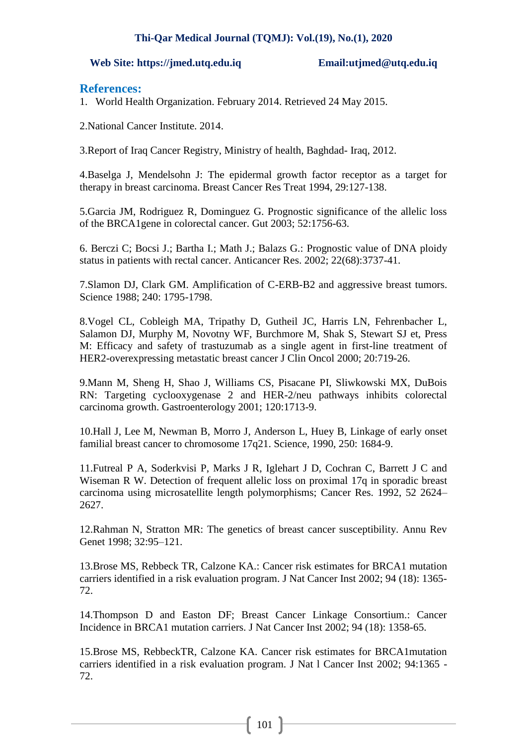### **Web Site: https://jmed.utq.edu.iq Email:utjmed@utq.edu.iq**

# **References:**

1. World Health Organization. February 2014. Retrieved 24 May 2015.

2.National Cancer Institute. 2014.

3.Report of Iraq Cancer Registry, Ministry of health, Baghdad- Iraq, 2012.

4.Baselga J, Mendelsohn J: The epidermal growth factor receptor as a target for therapy in breast carcinoma. Breast Cancer Res Treat 1994, 29:127-138.

5.Garcia JM, Rodriguez R, Dominguez G. Prognostic significance of the allelic loss of the BRCA1gene in colorectal cancer. Gut 2003; 52:1756-63.

6. Berczi C; Bocsi J.; Bartha I.; Math J.; Balazs G.: Prognostic value of DNA ploidy status in patients with rectal cancer. Anticancer Res. 2002; 22(68):3737-41.

7.Slamon DJ, Clark GM. Amplification of C-ERB-B2 and aggressive breast tumors. Science 1988; 240: 1795-1798.

8.Vogel CL, Cobleigh MA, Tripathy D, Gutheil JC, Harris LN, Fehrenbacher L, Salamon DJ, Murphy M, Novotny WF, Burchmore M, Shak S, Stewart SJ et, Press M: Efficacy and safety of trastuzumab as a single agent in first-line treatment of HER2-overexpressing metastatic breast cancer J Clin Oncol 2000; 20:719-26.

9.Mann M, Sheng H, Shao J, Williams CS, Pisacane PI, Sliwkowski MX, DuBois RN: Targeting cyclooxygenase 2 and HER-2/neu pathways inhibits colorectal carcinoma growth. Gastroenterology 2001; 120:1713-9.

10.Hall J, Lee M, Newman B, Morro J, Anderson L, Huey B, Linkage of early onset familial breast cancer to chromosome 17q21. Science, 1990, 250: 1684-9.

11.Futreal P A, Soderkvisi P, Marks J R, Iglehart J D, Cochran C, Barrett J C and Wiseman R W. Detection of frequent allelic loss on proximal 17q in sporadic breast carcinoma using microsatellite length polymorphisms; Cancer Res. 1992, 52 2624– 2627.

12.Rahman N, Stratton MR: The genetics of breast cancer susceptibility. Annu Rev Genet 1998; 32:95–121.

13.Brose MS, Rebbeck TR, Calzone KA.: Cancer risk estimates for BRCA1 mutation carriers identified in a risk evaluation program. J Nat Cancer Inst 2002; 94 (18): 1365- 72.

14.Thompson D and Easton DF; Breast Cancer Linkage Consortium.: Cancer Incidence in BRCA1 mutation carriers. J Nat Cancer Inst 2002; 94 (18): 1358-65.

15.Brose MS, RebbeckTR, Calzone KA. Cancer risk estimates for BRCA1mutation carriers identified in a risk evaluation program. J Nat l Cancer Inst 2002; 94:1365 - 72.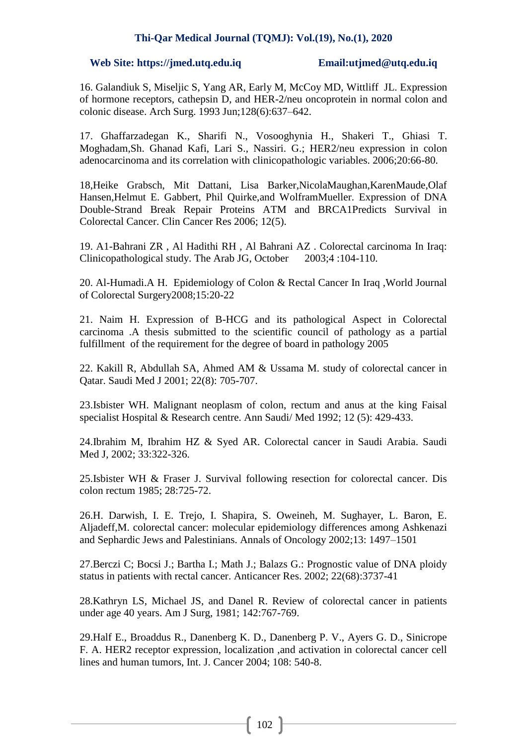### **Web Site: https://jmed.utq.edu.iq Email:utjmed@utq.edu.iq**

16. Galandiuk S, Miseljic S, Yang AR, Early M, McCoy MD, Wittliff JL. Expression of hormone receptors, cathepsin D, and HER-2/neu oncoprotein in normal colon and colonic disease. Arch Surg. 1993 Jun;128(6):637–642.

17. Ghaffarzadegan K., Sharifi N., Vosooghynia H., Shakeri T., Ghiasi T. Moghadam,Sh. Ghanad Kafi, Lari S., Nassiri. G.; HER2/neu expression in colon adenocarcinoma and its correlation with clinicopathologic variables. 2006;20:66-80.

18,Heike Grabsch, Mit Dattani, Lisa Barker,NicolaMaughan,KarenMaude,Olaf Hansen,Helmut E. Gabbert, Phil Quirke,and WolframMueller. Expression of DNA Double-Strand Break Repair Proteins ATM and BRCA1Predicts Survival in Colorectal Cancer. Clin Cancer Res 2006; 12(5).

19. A1-Bahrani ZR , Al Hadithi RH , Al Bahrani AZ . Colorectal carcinoma In Iraq: Clinicopathological study. The Arab JG, October 2003;4 :104-110.

20. Al-Humadi.A H. Epidemiology of Colon & Rectal Cancer In Iraq ,World Journal of Colorectal Surgery2008;15:20-22

21. Naim H. Expression of B-HCG and its pathological Aspect in Colorectal carcinoma .A thesis submitted to the scientific council of pathology as a partial fulfillment of the requirement for the degree of board in pathology 2005

22. Kakill R, Abdullah SA, Ahmed AM & Ussama M. study of colorectal cancer in Qatar. Saudi Med J 2001; 22(8): 705-707.

23.Isbister WH. Malignant neoplasm of colon, rectum and anus at the king Faisal specialist Hospital & Research centre. Ann Saudi/ Med 1992; 12 (5): 429-433.

24.Ibrahim M, Ibrahim HZ & Syed AR. Colorectal cancer in Saudi Arabia. Saudi Med J, 2002; 33:322-326.

25.Isbister WH & Fraser J. Survival following resection for colorectal cancer. Dis colon rectum 1985; 28:725-72.

26.H. Darwish, I. E. Trejo, I. Shapira, S. Oweineh, M. Sughayer, L. Baron, E. Aljadeff,M. colorectal cancer: molecular epidemiology differences among Ashkenazi and Sephardic Jews and Palestinians. Annals of Oncology 2002;13: 1497–1501

27.Berczi C; Bocsi J.; Bartha I.; Math J.; Balazs G.: Prognostic value of DNA ploidy status in patients with rectal cancer. Anticancer Res. 2002; 22(68):3737-41

28.Kathryn LS, Michael JS, and Danel R. Review of colorectal cancer in patients under age 40 years. Am J Surg, 1981; 142:767-769.

29.Half E., Broaddus R., Danenberg K. D., Danenberg P. V., Ayers G. D., Sinicrope F. A. HER2 receptor expression, localization ,and activation in colorectal cancer cell lines and human tumors, Int. J. Cancer 2004; 108: 540-8.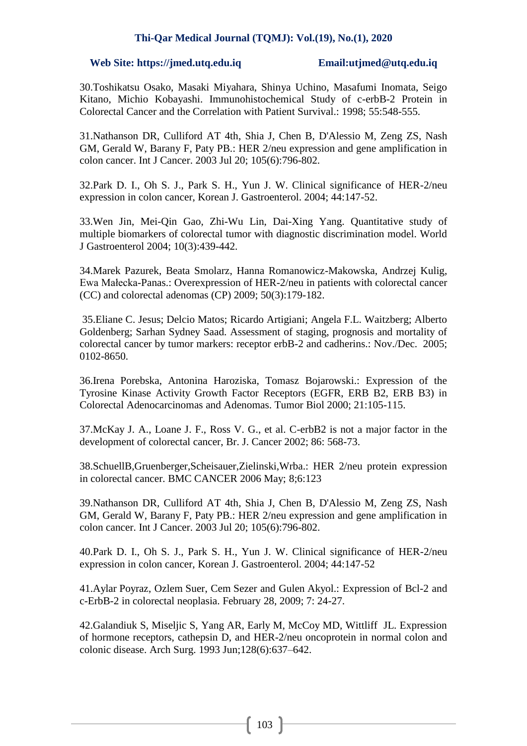### **Web Site: https://jmed.utq.edu.iq Email:utjmed@utq.edu.iq**

30.Toshikatsu Osako, Masaki Miyahara, Shinya Uchino, Masafumi Inomata, Seigo Kitano, Michio Kobayashi. Immunohistochemical Study of c-erbB-2 Protein in Colorectal Cancer and the Correlation with Patient Survival.: 1998; 55:548-555.

31[.Nathanson DR,](http://www.ncbi.nlm.nih.gov/pubmed?term=%22Nathanson%20DR%22%5BAuthor%5D) [Culliford AT 4th,](http://www.ncbi.nlm.nih.gov/pubmed?term=%22Culliford%20AT%204th%22%5BAuthor%5D) [Shia J,](http://www.ncbi.nlm.nih.gov/pubmed?term=%22Shia%20J%22%5BAuthor%5D) [Chen B,](http://www.ncbi.nlm.nih.gov/pubmed?term=%22Chen%20B%22%5BAuthor%5D) [D'Alessio M,](http://www.ncbi.nlm.nih.gov/pubmed?term=%22D) [Zeng ZS,](http://www.ncbi.nlm.nih.gov/pubmed?term=%22Zeng%20ZS%22%5BAuthor%5D) [Nash](http://www.ncbi.nlm.nih.gov/pubmed?term=%22Nash%20GM%22%5BAuthor%5D)  [GM,](http://www.ncbi.nlm.nih.gov/pubmed?term=%22Nash%20GM%22%5BAuthor%5D) [Gerald W,](http://www.ncbi.nlm.nih.gov/pubmed?term=%22Gerald%20W%22%5BAuthor%5D) [Barany F,](http://www.ncbi.nlm.nih.gov/pubmed?term=%22Barany%20F%22%5BAuthor%5D) [Paty PB.](http://www.ncbi.nlm.nih.gov/pubmed?term=%22Paty%20PB%22%5BAuthor%5D): HER 2/neu expression and gene amplification in colon cancer. [Int J Cancer.](javascript:AL_get(this,%20) 2003 Jul 20; 105(6):796-802.

32.Park D. I., Oh S. J., Park S. H., Yun J. W. Clinical significance of HER-2/neu expression in colon cancer, Korean J. Gastroenterol. 2004; 44:147-52.

33.Wen Jin, Mei-Qin Gao, Zhi-Wu Lin, Dai-Xing Yang. Quantitative study of multiple biomarkers of colorectal tumor with diagnostic discrimination model. World J Gastroenterol 2004; 10(3):439-442.

34.Marek Pazurek, Beata Smolarz, Hanna Romanowicz-Makowska, Andrzej Kulig, Ewa Małecka-Panas.: Overexpression of HER-2/neu in patients with colorectal cancer (CC) and colorectal adenomas (CP) 2009; 50(3):179-182.

35.Eliane C. Jesus; Delcio Matos; Ricardo Artigiani; Angela F.L. Waitzberg; Alberto Goldenberg; Sarhan Sydney Saad. Assessment of staging, prognosis and mortality of colorectal cancer by tumor markers: receptor erbB-2 and cadherins.: Nov./Dec. 2005; 0102-8650.

36.Irena Porebska, Antonina Haroziska, Tomasz Bojarowski.: Expression of the Tyrosine Kinase Activity Growth Factor Receptors (EGFR, ERB B2, ERB B3) in Colorectal Adenocarcinomas and Adenomas. Tumor Biol 2000; 21:105-115.

37.McKay J. A., Loane J. F., Ross V. G., et al. C-erbB2 is not a major factor in the development of colorectal cancer, Br. J. Cancer 2002; 86: 568-73.

38.SchuellB,Gruenberger,Scheisauer,Zielinski,Wrba.: HER 2/neu protein expression in colorectal cancer. BMC CANCER 2006 May; 8;6:123

39[.Nathanson DR,](http://www.ncbi.nlm.nih.gov/pubmed?term=%22Nathanson%20DR%22%5BAuthor%5D) [Culliford AT 4th,](http://www.ncbi.nlm.nih.gov/pubmed?term=%22Culliford%20AT%204th%22%5BAuthor%5D) [Shia J,](http://www.ncbi.nlm.nih.gov/pubmed?term=%22Shia%20J%22%5BAuthor%5D) [Chen B,](http://www.ncbi.nlm.nih.gov/pubmed?term=%22Chen%20B%22%5BAuthor%5D) [D'Alessio M,](http://www.ncbi.nlm.nih.gov/pubmed?term=%22D) [Zeng ZS,](http://www.ncbi.nlm.nih.gov/pubmed?term=%22Zeng%20ZS%22%5BAuthor%5D) [Nash](http://www.ncbi.nlm.nih.gov/pubmed?term=%22Nash%20GM%22%5BAuthor%5D) [GM,](http://www.ncbi.nlm.nih.gov/pubmed?term=%22Nash%20GM%22%5BAuthor%5D) [Gerald W,](http://www.ncbi.nlm.nih.gov/pubmed?term=%22Gerald%20W%22%5BAuthor%5D) [Barany F,](http://www.ncbi.nlm.nih.gov/pubmed?term=%22Barany%20F%22%5BAuthor%5D) [Paty PB.](http://www.ncbi.nlm.nih.gov/pubmed?term=%22Paty%20PB%22%5BAuthor%5D): HER 2/neu expression and gene amplification in colon cancer. [Int J Cancer.](javascript:AL_get(this,%20) 2003 Jul 20; 105(6):796-802.

40.Park D. I., Oh S. J., Park S. H., Yun J. W. Clinical significance of HER-2/neu expression in colon cancer, Korean J. Gastroenterol. 2004; 44:147-52

41.Aylar Poyraz, Ozlem Suer, Cem Sezer and Gulen Akyol.: Expression of Bcl-2 and c-ErbB-2 in colorectal neoplasia. February 28, 2009; 7: 24-27.

42.Galandiuk S, Miseljic S, Yang AR, Early M, McCoy MD, Wittliff JL. Expression of hormone receptors, cathepsin D, and HER-2/neu oncoprotein in normal colon and colonic disease. Arch Surg. 1993 Jun;128(6):637–642.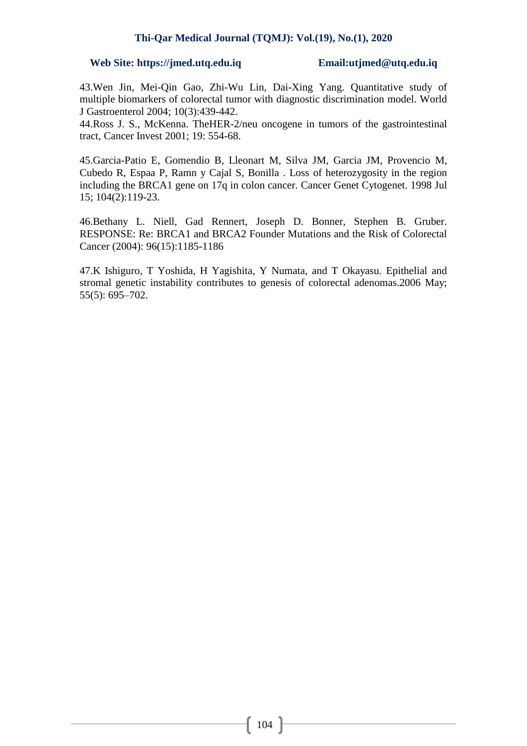### **Web Site: https://jmed.utq.edu.iq Email:utjmed@utq.edu.iq**

43.Wen Jin, Mei-Qin Gao, Zhi-Wu Lin, Dai-Xing Yang. Quantitative study of multiple biomarkers of colorectal tumor with diagnostic discrimination model. World J Gastroenterol 2004; 10(3):439-442.

44.Ross J. S., McKenna. TheHER-2/neu oncogene in tumors of the gastrointestinal tract, Cancer Invest 2001; 19: 554-68.

45[.Garcia-Patio E,](http://www.ncbi.nlm.nih.gov/pubmed?term=%22Garcia-Pati%C3%B1o%20E%22%5BAuthor%5D) [Gomendio B,](http://www.ncbi.nlm.nih.gov/pubmed?term=%22Gomendio%20B%22%5BAuthor%5D) [Lleonart M,](http://www.ncbi.nlm.nih.gov/pubmed?term=%22Lleonart%20M%22%5BAuthor%5D) [Silva JM,](http://www.ncbi.nlm.nih.gov/pubmed?term=%22Silva%20JM%22%5BAuthor%5D) [Garcia JM,](http://www.ncbi.nlm.nih.gov/pubmed?term=%22Garcia%20JM%22%5BAuthor%5D) [Provencio M,](http://www.ncbi.nlm.nih.gov/pubmed?term=%22Provencio%20M%22%5BAuthor%5D) [Cubedo R,](http://www.ncbi.nlm.nih.gov/pubmed?term=%22Cubedo%20R%22%5BAuthor%5D) [Espaa P,](http://www.ncbi.nlm.nih.gov/pubmed?term=%22Espa%C3%B1a%20P%22%5BAuthor%5D) [Ramn y Cajal S,](http://www.ncbi.nlm.nih.gov/pubmed?term=%22Ram%C3%B3n%20y%20Cajal%20S%22%5BAuthor%5D) [Bonilla .](http://www.ncbi.nlm.nih.gov/pubmed?term=%22Bonilla%20F%22%5BAuthor%5D) Loss of heterozygosity in the region including the BRCA1 gene on 17q in colon cancer. [Cancer Genet Cytogenet.](javascript:AL_get(this,%20) 1998 Jul 15; 104(2):119-23.

46.Bethany L. Niell, Gad Rennert, Joseph D. Bonner, Stephen B. Gruber. RESPONSE: Re: BRCA1 and BRCA2 Founder Mutations and the Risk of Colorectal Cancer (2004): 96(15):1185-1186

47.K Ishiguro, T Yoshida, H Yagishita, Y Numata, and T Okayasu. Epithelial and stromal genetic instability contributes to genesis of colorectal adenomas.2006 May; 55(5): 695–702.